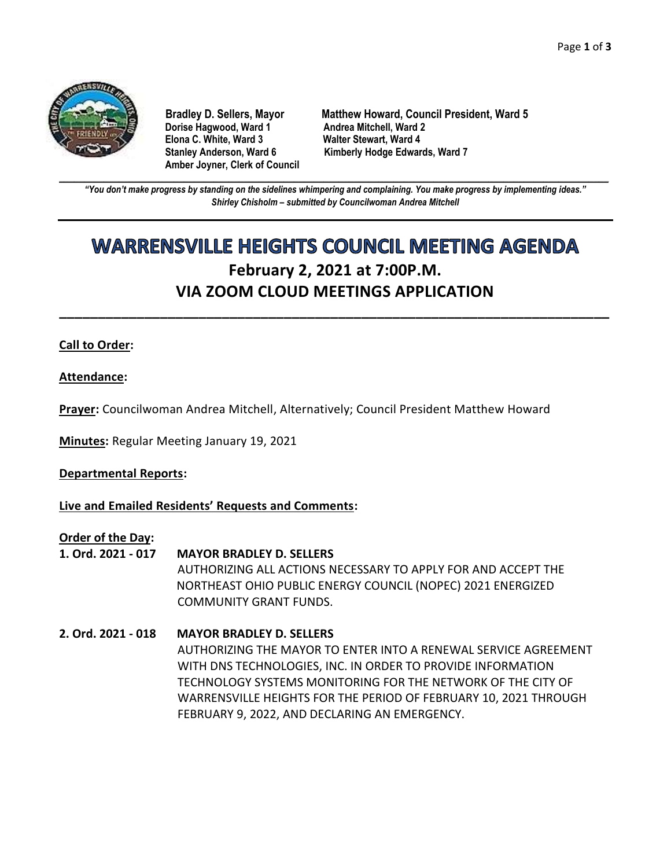

**Dorise Hagwood, Ward 1 Elona C. White, Ward 3 Walter Stewart, Ward 4 Amber Joyner, Clerk of Council**

**Bradley D. Sellers, Mayor Matthew Howard, Council President, Ward 5** Stanley Anderson, Ward 6 Kimberly Hodge Edwards, Ward 7

**\_\_\_\_\_\_\_\_\_\_\_\_\_\_\_\_\_\_\_\_\_\_\_\_\_\_\_\_\_\_\_\_\_\_\_\_\_\_\_\_\_\_\_\_\_\_\_\_\_\_\_\_\_\_\_\_\_\_\_\_\_\_\_\_\_\_\_\_\_\_\_\_\_\_\_\_\_\_\_\_\_\_\_\_\_\_\_\_\_\_\_\_\_\_\_\_\_\_\_\_\_\_\_\_\_\_\_\_\_\_** *"You don't make progress by standing on the sidelines whimpering and complaining. You make progress by implementing ideas." Shirley Chisholm – submitted by Councilwoman Andrea Mitchell*

# **WARRENSVILLE HEIGHTS COUNCIL MEETING AGENDA February 2, 2021 at 7:00P.M. VIA ZOOM CLOUD MEETINGS APPLICATION**

**\_\_\_\_\_\_\_\_\_\_\_\_\_\_\_\_\_\_\_\_\_\_\_\_\_\_\_\_\_\_\_\_\_\_\_\_\_\_\_\_\_\_\_\_\_\_\_\_\_\_\_\_\_\_\_\_\_\_\_\_\_\_\_\_\_\_\_\_\_\_\_**

## **Call to Order:**

**Attendance:**

**Prayer:** Councilwoman Andrea Mitchell, Alternatively; Council President Matthew Howard

**Minutes:** Regular Meeting January 19, 2021

**Departmental Reports:**

**Live and Emailed Residents' Requests and Comments:**

**Order of the Day:**

- **1. Ord. 2021 - 017 MAYOR BRADLEY D. SELLERS** AUTHORIZING ALL ACTIONS NECESSARY TO APPLY FOR AND ACCEPT THE NORTHEAST OHIO PUBLIC ENERGY COUNCIL (NOPEC) 2021 ENERGIZED COMMUNITY GRANT FUNDS.
- **2. Ord. 2021 - 018 MAYOR BRADLEY D. SELLERS** AUTHORIZING THE MAYOR TO ENTER INTO A RENEWAL SERVICE AGREEMENT WITH DNS TECHNOLOGIES, INC. IN ORDER TO PROVIDE INFORMATION TECHNOLOGY SYSTEMS MONITORING FOR THE NETWORK OF THE CITY OF WARRENSVILLE HEIGHTS FOR THE PERIOD OF FEBRUARY 10, 2021 THROUGH FEBRUARY 9, 2022, AND DECLARING AN EMERGENCY.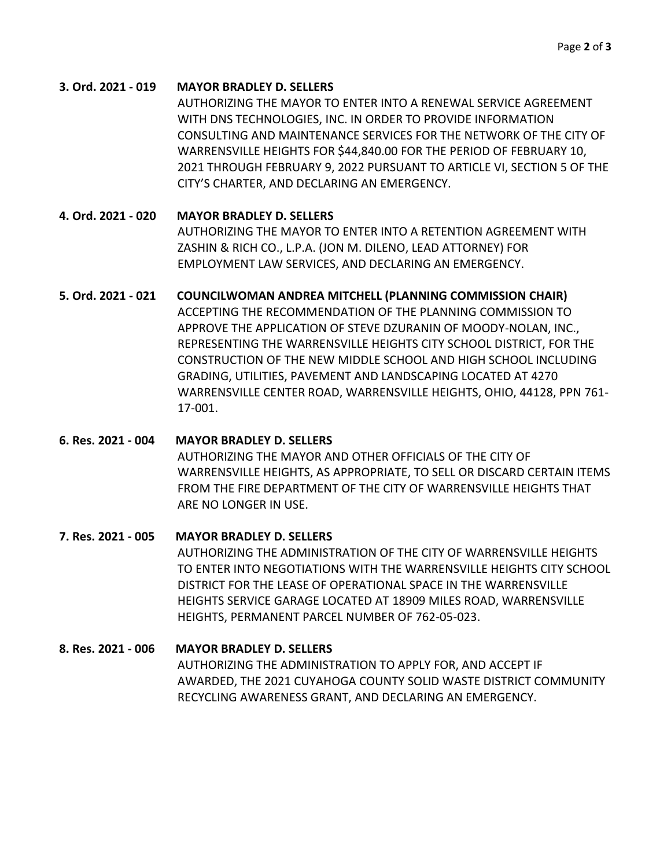## **3. Ord. 2021 - 019 MAYOR BRADLEY D. SELLERS**

AUTHORIZING THE MAYOR TO ENTER INTO A RENEWAL SERVICE AGREEMENT WITH DNS TECHNOLOGIES, INC. IN ORDER TO PROVIDE INFORMATION CONSULTING AND MAINTENANCE SERVICES FOR THE NETWORK OF THE CITY OF WARRENSVILLE HEIGHTS FOR \$44,840.00 FOR THE PERIOD OF FEBRUARY 10, 2021 THROUGH FEBRUARY 9, 2022 PURSUANT TO ARTICLE VI, SECTION 5 OF THE CITY'S CHARTER, AND DECLARING AN EMERGENCY.

## **4. Ord. 2021 - 020 MAYOR BRADLEY D. SELLERS**

AUTHORIZING THE MAYOR TO ENTER INTO A RETENTION AGREEMENT WITH ZASHIN & RICH CO., L.P.A. (JON M. DILENO, LEAD ATTORNEY) FOR EMPLOYMENT LAW SERVICES, AND DECLARING AN EMERGENCY.

## **5. Ord. 2021 - 021 COUNCILWOMAN ANDREA MITCHELL (PLANNING COMMISSION CHAIR)**

ACCEPTING THE RECOMMENDATION OF THE PLANNING COMMISSION TO APPROVE THE APPLICATION OF STEVE DZURANIN OF MOODY-NOLAN, INC., REPRESENTING THE WARRENSVILLE HEIGHTS CITY SCHOOL DISTRICT, FOR THE CONSTRUCTION OF THE NEW MIDDLE SCHOOL AND HIGH SCHOOL INCLUDING GRADING, UTILITIES, PAVEMENT AND LANDSCAPING LOCATED AT 4270 WARRENSVILLE CENTER ROAD, WARRENSVILLE HEIGHTS, OHIO, 44128, PPN 761- 17-001.

## **6. Res. 2021 - 004 MAYOR BRADLEY D. SELLERS**

AUTHORIZING THE MAYOR AND OTHER OFFICIALS OF THE CITY OF WARRENSVILLE HEIGHTS, AS APPROPRIATE, TO SELL OR DISCARD CERTAIN ITEMS FROM THE FIRE DEPARTMENT OF THE CITY OF WARRENSVILLE HEIGHTS THAT ARE NO LONGER IN USE.

## **7. Res. 2021 - 005 MAYOR BRADLEY D. SELLERS**

AUTHORIZING THE ADMINISTRATION OF THE CITY OF WARRENSVILLE HEIGHTS TO ENTER INTO NEGOTIATIONS WITH THE WARRENSVILLE HEIGHTS CITY SCHOOL DISTRICT FOR THE LEASE OF OPERATIONAL SPACE IN THE WARRENSVILLE HEIGHTS SERVICE GARAGE LOCATED AT 18909 MILES ROAD, WARRENSVILLE HEIGHTS, PERMANENT PARCEL NUMBER OF 762-05-023.

## **8. Res. 2021 - 006 MAYOR BRADLEY D. SELLERS**

AUTHORIZING THE ADMINISTRATION TO APPLY FOR, AND ACCEPT IF AWARDED, THE 2021 CUYAHOGA COUNTY SOLID WASTE DISTRICT COMMUNITY RECYCLING AWARENESS GRANT, AND DECLARING AN EMERGENCY.